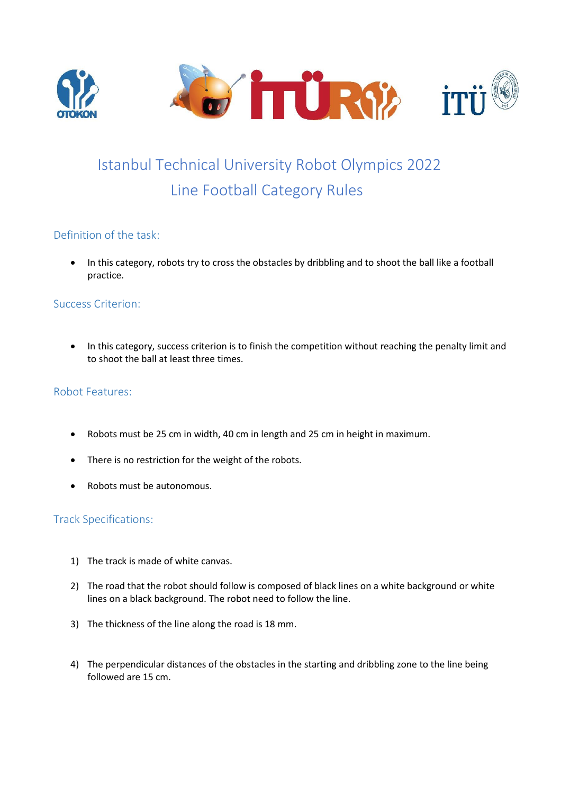



# Line Football Category Rules Istanbul Technical University Robot Olympics 2022

## Definition of the task:

 In this category, robots try to cross the obstacles by dribbling and to shoot the ball like a football practice.

#### Success Criterion:

• In this category, success criterion is to finish the competition without reaching the penalty limit and to shoot the ball at least three times.

## Robot Features:

- Robots must be 25 cm in width, 40 cm in length and 25 cm in height in maximum.
- There is no restriction for the weight of the robots.
- Robots must be autonomous.

## Track Specifications:

- 1) The track is made of white canvas.
- 2) The road that the robot should follow is composed of black lines on a white background or white lines on a black background. The robot need to follow the line.
- 3) The thickness of the line along the road is 18 mm.
- 4) The perpendicular distances of the obstacles in the starting and dribbling zone to the line being followed are 15 cm.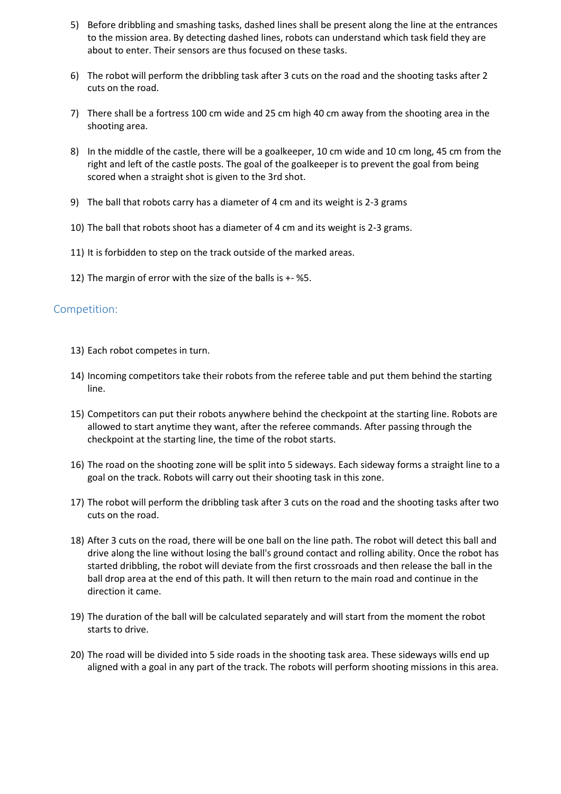- 5) Before dribbling and smashing tasks, dashed lines shall be present along the line at the entrances to the mission area. By detecting dashed lines, robots can understand which task field they are about to enter. Their sensors are thus focused on these tasks.
- 6) The robot will perform the dribbling task after 3 cuts on the road and the shooting tasks after 2 cuts on the road.
- 7) There shall be a fortress 100 cm wide and 25 cm high 40 cm away from the shooting area in the shooting area.
- 8) In the middle of the castle, there will be a goalkeeper, 10 cm wide and 10 cm long, 45 cm from the right and left of the castle posts. The goal of the goalkeeper is to prevent the goal from being scored when a straight shot is given to the 3rd shot.
- 9) The ball that robots carry has a diameter of 4 cm and its weight is 2-3 grams
- 10) The ball that robots shoot has a diameter of 4 cm and its weight is 2-3 grams.
- 11) It is forbidden to step on the track outside of the marked areas.
- 12) The margin of error with the size of the balls is +- %5.

#### Competition:

- 13) Each robot competes in turn.
- 14) Incoming competitors take their robots from the referee table and put them behind the starting line.
- 15) Competitors can put their robots anywhere behind the checkpoint at the starting line. Robots are allowed to start anytime they want, after the referee commands. After passing through the checkpoint at the starting line, the time of the robot starts.
- 16) The road on the shooting zone will be split into 5 sideways. Each sideway forms a straight line to a goal on the track. Robots will carry out their shooting task in this zone.
- 17) The robot will perform the dribbling task after 3 cuts on the road and the shooting tasks after two cuts on the road.
- 18) After 3 cuts on the road, there will be one ball on the line path. The robot will detect this ball and drive along the line without losing the ball's ground contact and rolling ability. Once the robot has started dribbling, the robot will deviate from the first crossroads and then release the ball in the ball drop area at the end of this path. It will then return to the main road and continue in the direction it came.
- 19) The duration of the ball will be calculated separately and will start from the moment the robot starts to drive.
- 20) The road will be divided into 5 side roads in the shooting task area. These sideways wills end up aligned with a goal in any part of the track. The robots will perform shooting missions in this area.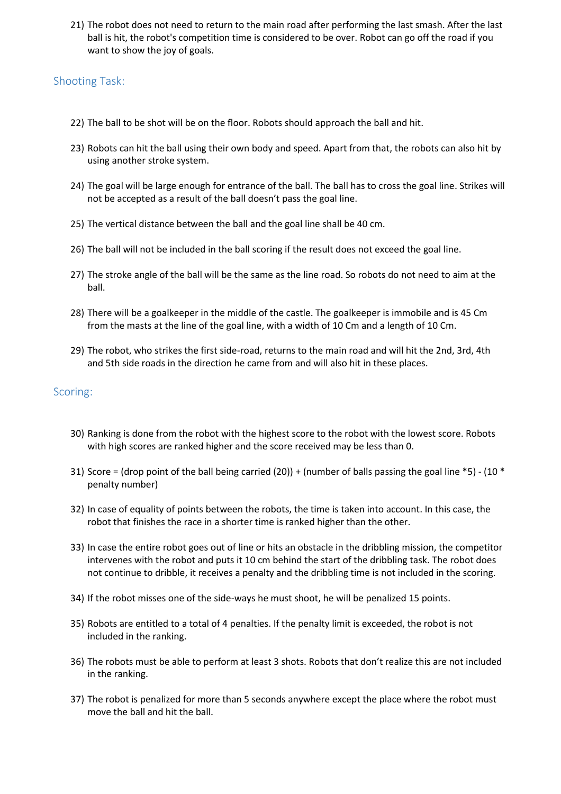21) The robot does not need to return to the main road after performing the last smash. After the last ball is hit, the robot's competition time is considered to be over. Robot can go off the road if you want to show the joy of goals.

## Shooting Task:

- 22) The ball to be shot will be on the floor. Robots should approach the ball and hit.
- 23) Robots can hit the ball using their own body and speed. Apart from that, the robots can also hit by using another stroke system.
- 24) The goal will be large enough for entrance of the ball. The ball has to cross the goal line. Strikes will not be accepted as a result of the ball doesn't pass the goal line.
- 25) The vertical distance between the ball and the goal line shall be 40 cm.
- 26) The ball will not be included in the ball scoring if the result does not exceed the goal line.
- 27) The stroke angle of the ball will be the same as the line road. So robots do not need to aim at the ball.
- 28) There will be a goalkeeper in the middle of the castle. The goalkeeper is immobile and is 45 Cm from the masts at the line of the goal line, with a width of 10 Cm and a length of 10 Cm.
- 29) The robot, who strikes the first side-road, returns to the main road and will hit the 2nd, 3rd, 4th and 5th side roads in the direction he came from and will also hit in these places.

## Scoring:

- 30) Ranking is done from the robot with the highest score to the robot with the lowest score. Robots with high scores are ranked higher and the score received may be less than 0.
- 31) Score = (drop point of the ball being carried (20)) + (number of balls passing the goal line \*5) (10 \* penalty number)
- 32) In case of equality of points between the robots, the time is taken into account. In this case, the robot that finishes the race in a shorter time is ranked higher than the other.
- 33) In case the entire robot goes out of line or hits an obstacle in the dribbling mission, the competitor intervenes with the robot and puts it 10 cm behind the start of the dribbling task. The robot does not continue to dribble, it receives a penalty and the dribbling time is not included in the scoring.
- 34) If the robot misses one of the side-ways he must shoot, he will be penalized 15 points.
- 35) Robots are entitled to a total of 4 penalties. If the penalty limit is exceeded, the robot is not included in the ranking.
- 36) The robots must be able to perform at least 3 shots. Robots that don't realize this are not included in the ranking.
- 37) The robot is penalized for more than 5 seconds anywhere except the place where the robot must move the ball and hit the ball.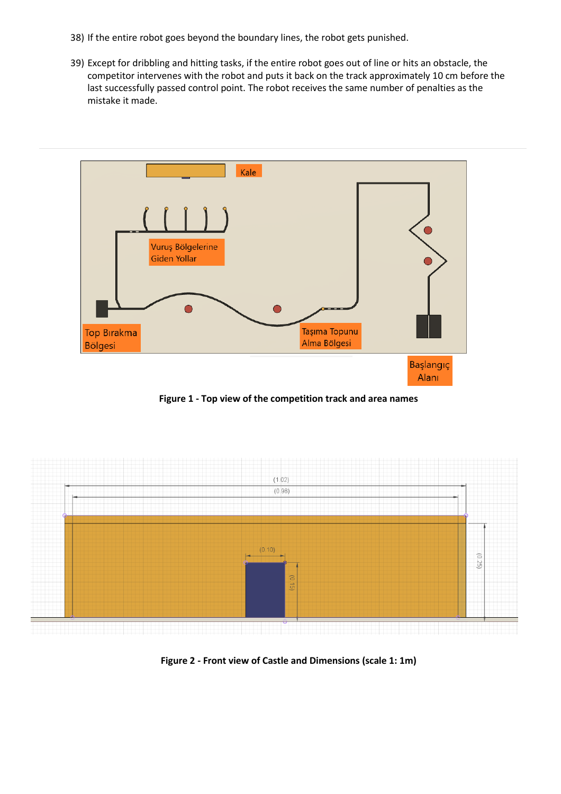- 38) If the entire robot goes beyond the boundary lines, the robot gets punished.
- 39) Except for dribbling and hitting tasks, if the entire robot goes out of line or hits an obstacle, the competitor intervenes with the robot and puts it back on the track approximately 10 cm before the last successfully passed control point. The robot receives the same number of penalties as the mistake it made.



**Figure 1 - Top view of the competition track and area names**



**Figure 2 - Front view of Castle and Dimensions (scale 1: 1m)**